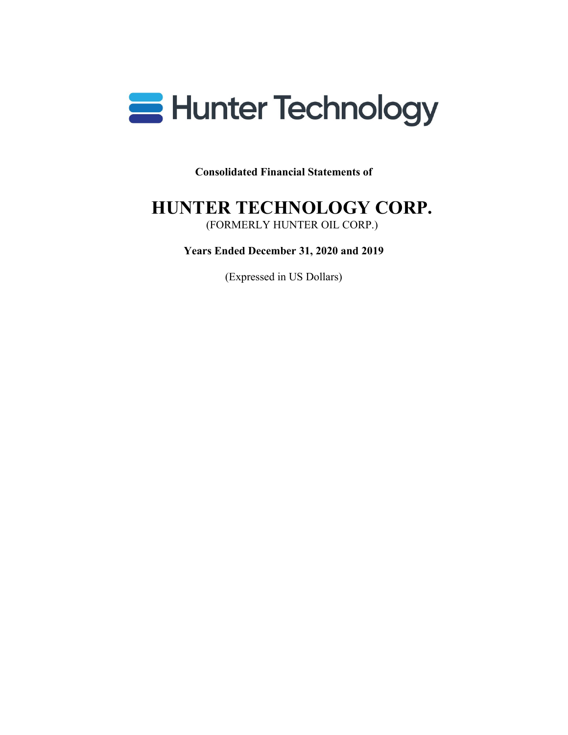

**Consolidated Financial Statements of** 

# **HUNTER TECHNOLOGY CORP.**  (FORMERLY HUNTER OIL CORP.)

**Years Ended December 31, 2020 and 2019** 

(Expressed in US Dollars)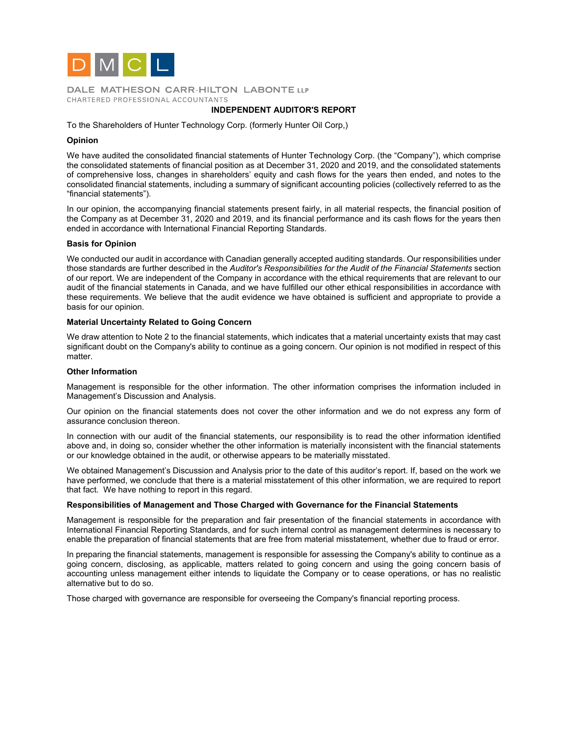

DALE MATHESON CARR-HILTON LABONTE LLP CHARTERED PROFESSIONAL ACCOUNTANTS

#### **INDEPENDENT AUDITOR'S REPORT**

To the Shareholders of Hunter Technology Corp. (formerly Hunter Oil Corp,)

#### **Opinion**

We have audited the consolidated financial statements of Hunter Technology Corp. (the "Company"), which comprise the consolidated statements of financial position as at December 31, 2020 and 2019, and the consolidated statements of comprehensive loss, changes in shareholders' equity and cash flows for the years then ended, and notes to the consolidated financial statements, including a summary of significant accounting policies (collectively referred to as the "financial statements").

In our opinion, the accompanying financial statements present fairly, in all material respects, the financial position of the Company as at December 31, 2020 and 2019, and its financial performance and its cash flows for the years then ended in accordance with International Financial Reporting Standards.

#### **Basis for Opinion**

We conducted our audit in accordance with Canadian generally accepted auditing standards. Our responsibilities under those standards are further described in the *Auditor's Responsibilities for the Audit of the Financial Statements* section of our report. We are independent of the Company in accordance with the ethical requirements that are relevant to our audit of the financial statements in Canada, and we have fulfilled our other ethical responsibilities in accordance with these requirements. We believe that the audit evidence we have obtained is sufficient and appropriate to provide a basis for our opinion.

# **Material Uncertainty Related to Going Concern**

We draw attention to Note 2 to the financial statements, which indicates that a material uncertainty exists that may cast significant doubt on the Company's ability to continue as a going concern. Our opinion is not modified in respect of this matter.

#### **Other Information**

Management is responsible for the other information. The other information comprises the information included in Management's Discussion and Analysis.

Our opinion on the financial statements does not cover the other information and we do not express any form of assurance conclusion thereon.

In connection with our audit of the financial statements, our responsibility is to read the other information identified above and, in doing so, consider whether the other information is materially inconsistent with the financial statements or our knowledge obtained in the audit, or otherwise appears to be materially misstated.

We obtained Management's Discussion and Analysis prior to the date of this auditor's report. If, based on the work we have performed, we conclude that there is a material misstatement of this other information, we are required to report that fact. We have nothing to report in this regard.

#### **Responsibilities of Management and Those Charged with Governance for the Financial Statements**

Management is responsible for the preparation and fair presentation of the financial statements in accordance with International Financial Reporting Standards, and for such internal control as management determines is necessary to enable the preparation of financial statements that are free from material misstatement, whether due to fraud or error.

In preparing the financial statements, management is responsible for assessing the Company's ability to continue as a going concern, disclosing, as applicable, matters related to going concern and using the going concern basis of accounting unless management either intends to liquidate the Company or to cease operations, or has no realistic alternative but to do so.

Those charged with governance are responsible for overseeing the Company's financial reporting process.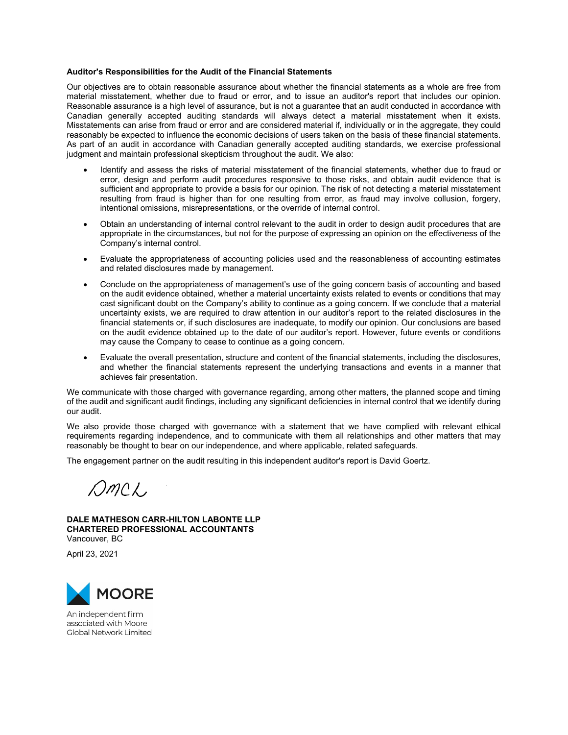#### **Auditor's Responsibilities for the Audit of the Financial Statements**

Our objectives are to obtain reasonable assurance about whether the financial statements as a whole are free from material misstatement, whether due to fraud or error, and to issue an auditor's report that includes our opinion. Reasonable assurance is a high level of assurance, but is not a guarantee that an audit conducted in accordance with Canadian generally accepted auditing standards will always detect a material misstatement when it exists. Misstatements can arise from fraud or error and are considered material if, individually or in the aggregate, they could reasonably be expected to influence the economic decisions of users taken on the basis of these financial statements. As part of an audit in accordance with Canadian generally accepted auditing standards, we exercise professional judgment and maintain professional skepticism throughout the audit. We also:

- Identify and assess the risks of material misstatement of the financial statements, whether due to fraud or error, design and perform audit procedures responsive to those risks, and obtain audit evidence that is sufficient and appropriate to provide a basis for our opinion. The risk of not detecting a material misstatement resulting from fraud is higher than for one resulting from error, as fraud may involve collusion, forgery, intentional omissions, misrepresentations, or the override of internal control.
- Obtain an understanding of internal control relevant to the audit in order to design audit procedures that are appropriate in the circumstances, but not for the purpose of expressing an opinion on the effectiveness of the Company's internal control.
- Evaluate the appropriateness of accounting policies used and the reasonableness of accounting estimates and related disclosures made by management.
- Conclude on the appropriateness of management's use of the going concern basis of accounting and based on the audit evidence obtained, whether a material uncertainty exists related to events or conditions that may cast significant doubt on the Company's ability to continue as a going concern. If we conclude that a material uncertainty exists, we are required to draw attention in our auditor's report to the related disclosures in the financial statements or, if such disclosures are inadequate, to modify our opinion. Our conclusions are based on the audit evidence obtained up to the date of our auditor's report. However, future events or conditions may cause the Company to cease to continue as a going concern.
- Evaluate the overall presentation, structure and content of the financial statements, including the disclosures, and whether the financial statements represent the underlying transactions and events in a manner that achieves fair presentation.

We communicate with those charged with governance regarding, among other matters, the planned scope and timing of the audit and significant audit findings, including any significant deficiencies in internal control that we identify during our audit.

We also provide those charged with governance with a statement that we have complied with relevant ethical requirements regarding independence, and to communicate with them all relationships and other matters that may reasonably be thought to bear on our independence, and where applicable, related safeguards.

The engagement partner on the audit resulting in this independent auditor's report is David Goertz.

 $Dmck$ 

**DALE MATHESON CARR-HILTON LABONTE LLP CHARTERED PROFESSIONAL ACCOUNTANTS**  Vancouver, BC

April 23, 2021



An independent firm associated with Moore **Global Network Limited**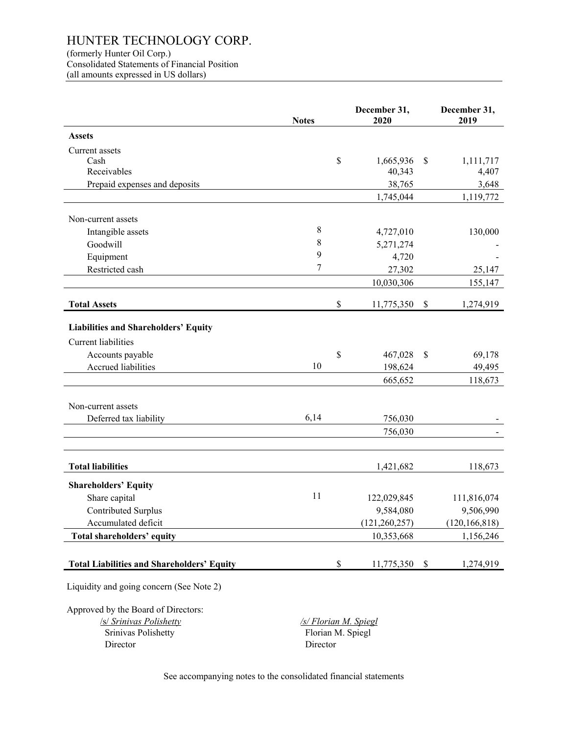# HUNTER TECHNOLOGY CORP. (formerly Hunter Oil Corp.) Consolidated Statements of Financial Position

(all amounts expressed in US dollars)

|                                                   | <b>Notes</b>          | December 31,<br>2020 | December 31,<br>2019 |
|---------------------------------------------------|-----------------------|----------------------|----------------------|
| <b>Assets</b>                                     |                       |                      |                      |
| Current assets                                    |                       |                      |                      |
| Cash                                              |                       | \$<br>1,665,936      | \$<br>1,111,717      |
| Receivables                                       |                       | 40,343               | 4,407                |
| Prepaid expenses and deposits                     |                       | 38,765               | 3,648                |
|                                                   |                       | 1,745,044            | 1,119,772            |
| Non-current assets                                |                       |                      |                      |
| Intangible assets                                 | 8                     | 4,727,010            | 130,000              |
| Goodwill                                          | 8                     | 5,271,274            |                      |
| Equipment                                         | 9                     | 4,720                |                      |
| Restricted cash                                   | 7                     | 27,302               | 25,147               |
|                                                   |                       | 10,030,306           | 155,147              |
| <b>Total Assets</b>                               |                       | \$<br>11,775,350     | \$<br>1,274,919      |
|                                                   |                       |                      |                      |
| <b>Liabilities and Shareholders' Equity</b>       |                       |                      |                      |
| <b>Current liabilities</b>                        |                       |                      |                      |
| Accounts payable                                  |                       | \$<br>467,028        | \$<br>69,178         |
| Accrued liabilities                               | 10                    | 198,624              | 49,495               |
|                                                   |                       | 665,652              | 118,673              |
| Non-current assets                                |                       |                      |                      |
| Deferred tax liability                            | 6,14                  | 756,030              |                      |
|                                                   |                       | 756,030              |                      |
|                                                   |                       |                      |                      |
| <b>Total liabilities</b>                          |                       | 1,421,682            | 118,673              |
| <b>Shareholders' Equity</b>                       |                       |                      |                      |
| Share capital                                     | 11                    | 122,029,845          | 111,816,074          |
| Contributed Surplus                               |                       | 9,584,080            | 9,506,990            |
| Accumulated deficit                               |                       | (121, 260, 257)      | (120, 166, 818)      |
| <b>Total shareholders' equity</b>                 |                       | 10,353,668           | 1,156,246            |
|                                                   |                       |                      |                      |
| <b>Total Liabilities and Shareholders' Equity</b> |                       | \$<br>11,775,350 \$  | 1,274,919            |
| Liquidity and going concern (See Note 2)          |                       |                      |                      |
| Approved by the Board of Directors:               |                       |                      |                      |
| <b>/s/ Srinivas Polishetty</b>                    | /s/ Florian M. Spiegl |                      |                      |
| Srinivas Polishetty                               | Florian M. Spiegl     |                      |                      |
| Director                                          | Director              |                      |                      |

See accompanying notes to the consolidated financial statements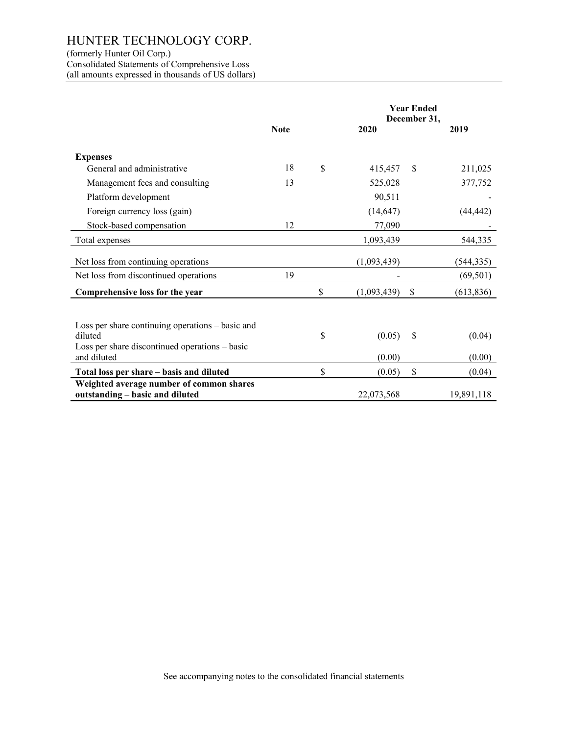# HUNTER TECHNOLOGY CORP.

# (formerly Hunter Oil Corp.)

Consolidated Statements of Comprehensive Loss (all amounts expressed in thousands of US dollars)

|                                                                                                                              |             |                        | <b>Year Ended</b><br>December 31, |                  |  |
|------------------------------------------------------------------------------------------------------------------------------|-------------|------------------------|-----------------------------------|------------------|--|
|                                                                                                                              | <b>Note</b> | 2020                   |                                   | 2019             |  |
| <b>Expenses</b>                                                                                                              |             |                        |                                   |                  |  |
| General and administrative                                                                                                   | 18          | \$<br>415,457          | <sup>\$</sup>                     | 211,025          |  |
| Management fees and consulting                                                                                               | 13          | 525,028                |                                   | 377,752          |  |
| Platform development                                                                                                         |             | 90,511                 |                                   |                  |  |
| Foreign currency loss (gain)                                                                                                 |             | (14, 647)              |                                   | (44, 442)        |  |
| Stock-based compensation                                                                                                     | 12          | 77,090                 |                                   |                  |  |
| Total expenses                                                                                                               |             | 1,093,439              |                                   | 544,335          |  |
| Net loss from continuing operations                                                                                          |             | (1,093,439)            |                                   | (544, 335)       |  |
| Net loss from discontinued operations                                                                                        | 19          |                        |                                   | (69, 501)        |  |
| Comprehensive loss for the year                                                                                              |             | \$<br>(1,093,439)      | \$                                | (613, 836)       |  |
| Loss per share continuing operations – basic and<br>diluted<br>Loss per share discontinued operations - basic<br>and diluted |             | \$<br>(0.05)<br>(0.00) | \$                                | (0.04)<br>(0.00) |  |
| Total loss per share - basis and diluted                                                                                     |             | \$<br>(0.05)           | \$                                | (0.04)           |  |
| Weighted average number of common shares<br>outstanding - basic and diluted                                                  |             | 22,073,568             |                                   | 19,891,118       |  |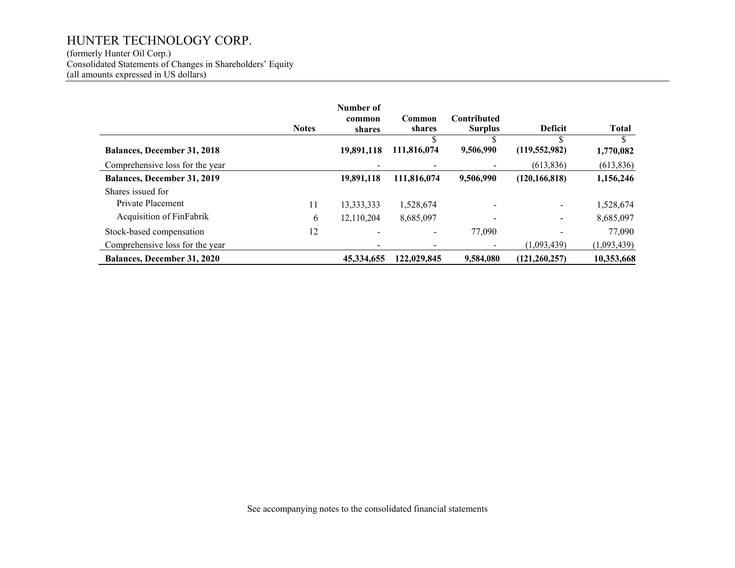# HUNTER TECHNOLOGY CORP.

(formerly Hunter Oil Corp.) Consolidated Statements of Changes in Shareholders' Equity (all amounts expressed in US dollars)

|                                    |              | Number of<br>common | Common      | <b>Contributed</b> |                          |              |
|------------------------------------|--------------|---------------------|-------------|--------------------|--------------------------|--------------|
|                                    | <b>Notes</b> | shares              | shares      | <b>Surplus</b>     | <b>Deficit</b>           | <b>Total</b> |
|                                    |              |                     |             |                    |                          | \$           |
| <b>Balances, December 31, 2018</b> |              | 19,891,118          | 111,816,074 | 9,506,990          | (119, 552, 982)          | 1,770,082    |
| Comprehensive loss for the year    |              |                     |             |                    | (613, 836)               | (613, 836)   |
| <b>Balances, December 31, 2019</b> |              | 19,891,118          | 111,816,074 | 9,506,990          | (120, 166, 818)          | 1,156,246    |
| Shares issued for                  |              |                     |             |                    |                          |              |
| Private Placement                  | 11           | 13,333,333          | 1,528,674   |                    | $\overline{\phantom{a}}$ | 1,528,674    |
| Acquisition of FinFabrik           | 6            | 12,110,204          | 8,685,097   |                    | $\overline{\phantom{a}}$ | 8,685,097    |
| Stock-based compensation           | 12           |                     |             | 77,090             |                          | 77,090       |
| Comprehensive loss for the year    |              |                     |             |                    | (1,093,439)              | (1,093,439)  |
| <b>Balances, December 31, 2020</b> |              | 45,334,655          | 122,029,845 | 9,584,080          | (121.260.257)            | 10,353,668   |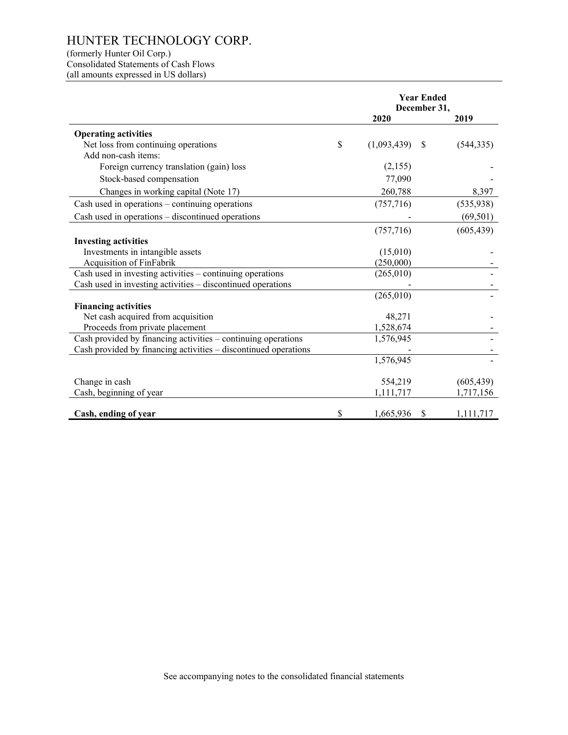# HUNTER TECHNOLOGY CORP.

(formerly Hunter Oil Corp.)

Consolidated Statements of Cash Flows (all amounts expressed in US dollars)

|                                                                 | <b>Year Ended</b><br>December 31, |             |               |            |
|-----------------------------------------------------------------|-----------------------------------|-------------|---------------|------------|
|                                                                 |                                   | 2020        |               | 2019       |
| <b>Operating activities</b>                                     |                                   |             |               |            |
| Net loss from continuing operations                             | \$                                | (1,093,439) | <sup>\$</sup> | (544, 335) |
| Add non-cash items:                                             |                                   |             |               |            |
| Foreign currency translation (gain) loss                        |                                   | (2,155)     |               |            |
| Stock-based compensation                                        |                                   | 77,090      |               |            |
| Changes in working capital (Note 17)                            |                                   | 260,788     |               | 8,397      |
| Cash used in operations $-$ continuing operations               |                                   | (757, 716)  |               | (535, 938) |
| Cash used in operations – discontinued operations               |                                   |             |               | (69, 501)  |
|                                                                 |                                   | (757, 716)  |               | (605, 439) |
| <b>Investing activities</b>                                     |                                   |             |               |            |
| Investments in intangible assets                                |                                   | (15,010)    |               |            |
| Acquisition of FinFabrik                                        |                                   | (250,000)   |               |            |
| Cash used in investing activities - continuing operations       |                                   | (265,010)   |               |            |
| Cash used in investing activities – discontinued operations     |                                   |             |               |            |
|                                                                 |                                   | (265,010)   |               |            |
| <b>Financing activities</b>                                     |                                   |             |               |            |
| Net cash acquired from acquisition                              |                                   | 48,271      |               |            |
| Proceeds from private placement                                 |                                   | 1,528,674   |               |            |
| Cash provided by financing activities – continuing operations   |                                   | 1,576,945   |               |            |
| Cash provided by financing activities - discontinued operations |                                   |             |               |            |
|                                                                 |                                   | 1,576,945   |               |            |
| Change in cash                                                  |                                   | 554,219     |               | (605, 439) |
| Cash, beginning of year                                         |                                   | 1,111,717   |               | 1,717,156  |
| Cash, ending of year                                            | \$                                | 1,665,936   | S             | 1,111,717  |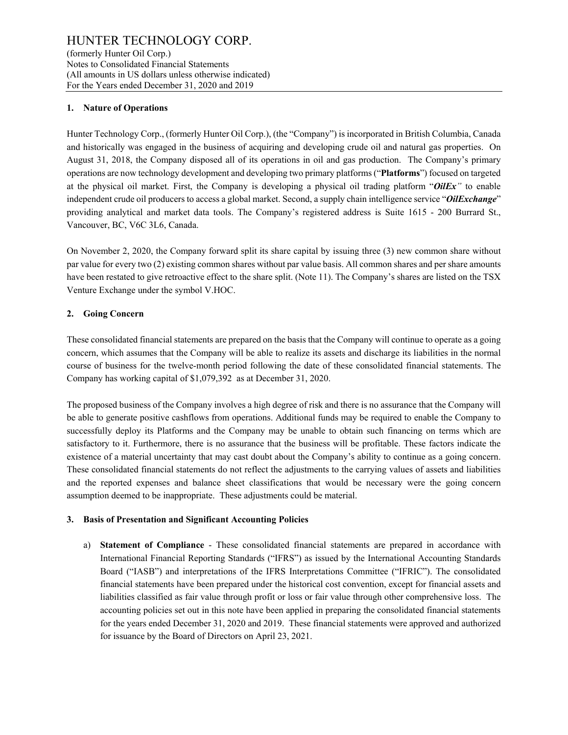## **1. Nature of Operations**

Hunter Technology Corp., (formerly Hunter Oil Corp.), (the "Company") is incorporated in British Columbia, Canada and historically was engaged in the business of acquiring and developing crude oil and natural gas properties. On August 31, 2018, the Company disposed all of its operations in oil and gas production. The Company's primary operations are now technology development and developing two primary platforms ("**Platforms**") focused on targeted at the physical oil market. First, the Company is developing a physical oil trading platform "*OilEx"* to enable independent crude oil producers to access a global market. Second, a supply chain intelligence service "*OilExchange*" providing analytical and market data tools. The Company's registered address is Suite 1615 - 200 Burrard St., Vancouver, BC, V6C 3L6, Canada.

On November 2, 2020, the Company forward split its share capital by issuing three (3) new common share without par value for every two (2) existing common shares without par value basis. All common shares and per share amounts have been restated to give retroactive effect to the share split. (Note 11). The Company's shares are listed on the TSX Venture Exchange under the symbol V.HOC.

#### **2. Going Concern**

These consolidated financial statements are prepared on the basis that the Company will continue to operate as a going concern, which assumes that the Company will be able to realize its assets and discharge its liabilities in the normal course of business for the twelve-month period following the date of these consolidated financial statements. The Company has working capital of \$1,079,392 as at December 31, 2020.

The proposed business of the Company involves a high degree of risk and there is no assurance that the Company will be able to generate positive cashflows from operations. Additional funds may be required to enable the Company to successfully deploy its Platforms and the Company may be unable to obtain such financing on terms which are satisfactory to it. Furthermore, there is no assurance that the business will be profitable. These factors indicate the existence of a material uncertainty that may cast doubt about the Company's ability to continue as a going concern. These consolidated financial statements do not reflect the adjustments to the carrying values of assets and liabilities and the reported expenses and balance sheet classifications that would be necessary were the going concern assumption deemed to be inappropriate. These adjustments could be material.

#### **3. Basis of Presentation and Significant Accounting Policies**

a) **Statement of Compliance** - These consolidated financial statements are prepared in accordance with International Financial Reporting Standards ("IFRS") as issued by the International Accounting Standards Board ("IASB") and interpretations of the IFRS Interpretations Committee ("IFRIC"). The consolidated financial statements have been prepared under the historical cost convention, except for financial assets and liabilities classified as fair value through profit or loss or fair value through other comprehensive loss. The accounting policies set out in this note have been applied in preparing the consolidated financial statements for the years ended December 31, 2020 and 2019. These financial statements were approved and authorized for issuance by the Board of Directors on April 23, 2021.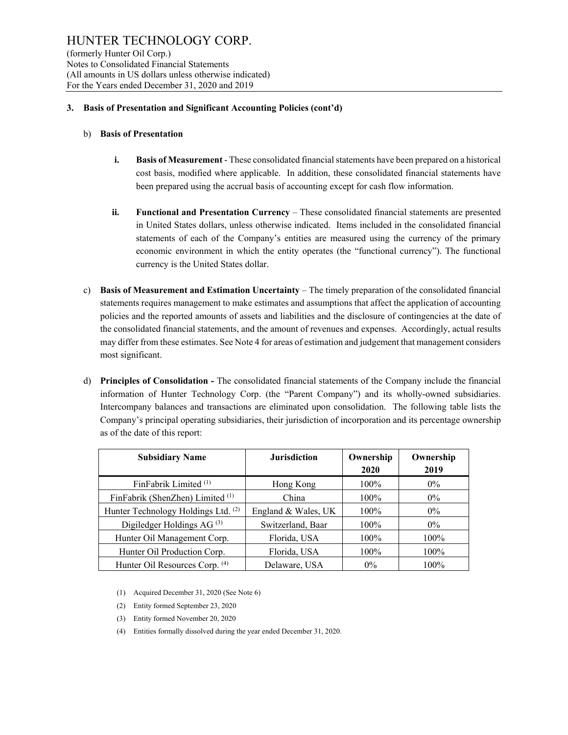- b) **Basis of Presentation** 
	- **i. Basis of Measurement** These consolidated financial statements have been prepared on a historical cost basis, modified where applicable. In addition, these consolidated financial statements have been prepared using the accrual basis of accounting except for cash flow information.
	- **ii. Functional and Presentation Currency**  These consolidated financial statements are presented in United States dollars, unless otherwise indicated. Items included in the consolidated financial statements of each of the Company's entities are measured using the currency of the primary economic environment in which the entity operates (the "functional currency"). The functional currency is the United States dollar.
- c) **Basis of Measurement and Estimation Uncertainty** The timely preparation of the consolidated financial statements requires management to make estimates and assumptions that affect the application of accounting policies and the reported amounts of assets and liabilities and the disclosure of contingencies at the date of the consolidated financial statements, and the amount of revenues and expenses. Accordingly, actual results may differ from these estimates. See Note 4 for areas of estimation and judgement that management considers most significant.
- d) **Principles of Consolidation** The consolidated financial statements of the Company include the financial information of Hunter Technology Corp. (the "Parent Company") and its wholly-owned subsidiaries. Intercompany balances and transactions are eliminated upon consolidation. The following table lists the Company's principal operating subsidiaries, their jurisdiction of incorporation and its percentage ownership as of the date of this report:

| <b>Subsidiary Name</b>                      | <b>Jurisdiction</b> | Ownership<br>2020 | Ownership<br>2019 |
|---------------------------------------------|---------------------|-------------------|-------------------|
| FinFabrik Limited <sup>(1)</sup>            | Hong Kong           | $100\%$           | $0\%$             |
| FinFabrik (ShenZhen) Limited <sup>(1)</sup> | China               | $100\%$           | $0\%$             |
| Hunter Technology Holdings Ltd. (2)         | England & Wales, UK | $100\%$           | $0\%$             |
| Digiledger Holdings AG <sup>(3)</sup>       | Switzerland, Baar   | $100\%$           | $0\%$             |
| Hunter Oil Management Corp.                 | Florida, USA        | $100\%$           | 100%              |
| Hunter Oil Production Corp.                 | Florida, USA        | $100\%$           | $100\%$           |
| Hunter Oil Resources Corp. (4)              | Delaware, USA       | $0\%$             | 100%              |

- (1) Acquired December 31, 2020 (See Note 6)
- (2) Entity formed September 23, 2020
- (3) Entity formed November 20, 2020
- (4) Entities formally dissolved during the year ended December 31, 2020.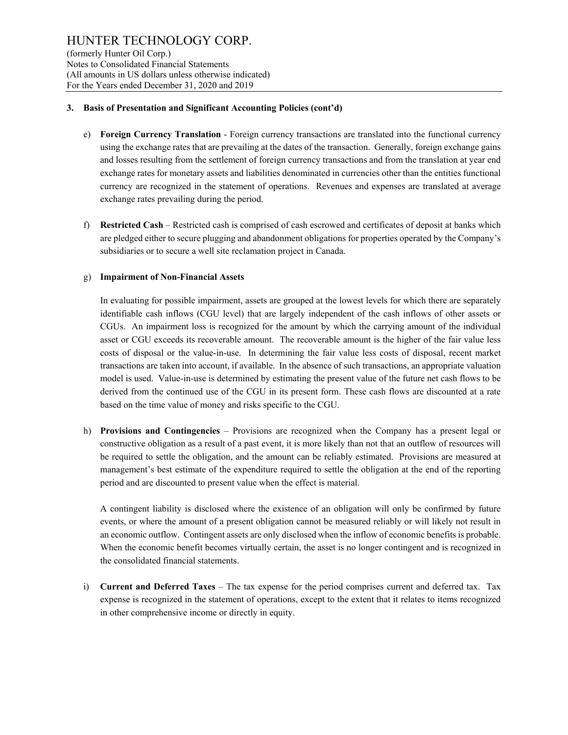- e) **Foreign Currency Translation** Foreign currency transactions are translated into the functional currency using the exchange rates that are prevailing at the dates of the transaction. Generally, foreign exchange gains and losses resulting from the settlement of foreign currency transactions and from the translation at year end exchange rates for monetary assets and liabilities denominated in currencies other than the entities functional currency are recognized in the statement of operations. Revenues and expenses are translated at average exchange rates prevailing during the period.
- f) **Restricted Cash** Restricted cash is comprised of cash escrowed and certificates of deposit at banks which are pledged either to secure plugging and abandonment obligations for properties operated by the Company's subsidiaries or to secure a well site reclamation project in Canada.

#### g) **Impairment of Non-Financial Assets**

In evaluating for possible impairment, assets are grouped at the lowest levels for which there are separately identifiable cash inflows (CGU level) that are largely independent of the cash inflows of other assets or CGUs. An impairment loss is recognized for the amount by which the carrying amount of the individual asset or CGU exceeds its recoverable amount. The recoverable amount is the higher of the fair value less costs of disposal or the value-in-use. In determining the fair value less costs of disposal, recent market transactions are taken into account, if available. In the absence of such transactions, an appropriate valuation model is used. Value-in-use is determined by estimating the present value of the future net cash flows to be derived from the continued use of the CGU in its present form. These cash flows are discounted at a rate based on the time value of money and risks specific to the CGU.

h) **Provisions and Contingencies** – Provisions are recognized when the Company has a present legal or constructive obligation as a result of a past event, it is more likely than not that an outflow of resources will be required to settle the obligation, and the amount can be reliably estimated. Provisions are measured at management's best estimate of the expenditure required to settle the obligation at the end of the reporting period and are discounted to present value when the effect is material.

A contingent liability is disclosed where the existence of an obligation will only be confirmed by future events, or where the amount of a present obligation cannot be measured reliably or will likely not result in an economic outflow. Contingent assets are only disclosed when the inflow of economic benefits is probable. When the economic benefit becomes virtually certain, the asset is no longer contingent and is recognized in the consolidated financial statements.

i) **Current and Deferred Taxes** – The tax expense for the period comprises current and deferred tax. Tax expense is recognized in the statement of operations, except to the extent that it relates to items recognized in other comprehensive income or directly in equity.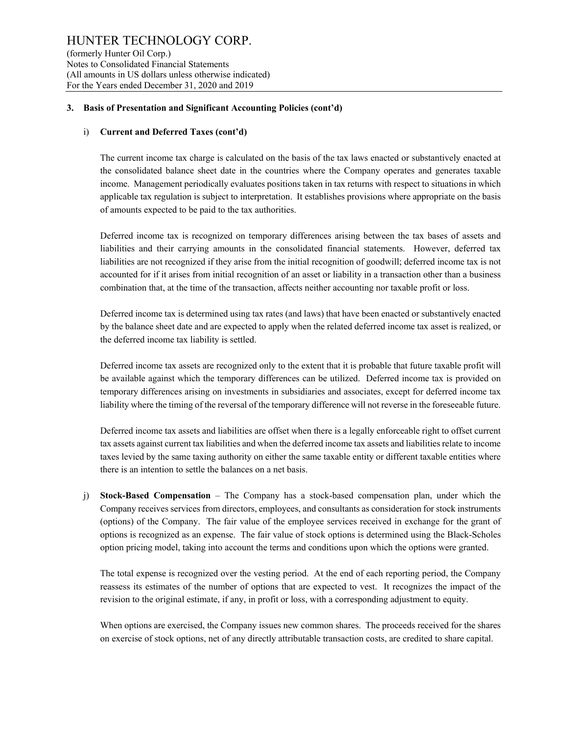#### i) **Current and Deferred Taxes (cont'd)**

The current income tax charge is calculated on the basis of the tax laws enacted or substantively enacted at the consolidated balance sheet date in the countries where the Company operates and generates taxable income. Management periodically evaluates positions taken in tax returns with respect to situations in which applicable tax regulation is subject to interpretation. It establishes provisions where appropriate on the basis of amounts expected to be paid to the tax authorities.

Deferred income tax is recognized on temporary differences arising between the tax bases of assets and liabilities and their carrying amounts in the consolidated financial statements. However, deferred tax liabilities are not recognized if they arise from the initial recognition of goodwill; deferred income tax is not accounted for if it arises from initial recognition of an asset or liability in a transaction other than a business combination that, at the time of the transaction, affects neither accounting nor taxable profit or loss.

Deferred income tax is determined using tax rates (and laws) that have been enacted or substantively enacted by the balance sheet date and are expected to apply when the related deferred income tax asset is realized, or the deferred income tax liability is settled.

Deferred income tax assets are recognized only to the extent that it is probable that future taxable profit will be available against which the temporary differences can be utilized. Deferred income tax is provided on temporary differences arising on investments in subsidiaries and associates, except for deferred income tax liability where the timing of the reversal of the temporary difference will not reverse in the foreseeable future.

Deferred income tax assets and liabilities are offset when there is a legally enforceable right to offset current tax assets against current tax liabilities and when the deferred income tax assets and liabilities relate to income taxes levied by the same taxing authority on either the same taxable entity or different taxable entities where there is an intention to settle the balances on a net basis.

j) **Stock-Based Compensation** – The Company has a stock-based compensation plan, under which the Company receives services from directors, employees, and consultants as consideration for stock instruments (options) of the Company. The fair value of the employee services received in exchange for the grant of options is recognized as an expense. The fair value of stock options is determined using the Black-Scholes option pricing model, taking into account the terms and conditions upon which the options were granted.

The total expense is recognized over the vesting period. At the end of each reporting period, the Company reassess its estimates of the number of options that are expected to vest. It recognizes the impact of the revision to the original estimate, if any, in profit or loss, with a corresponding adjustment to equity.

When options are exercised, the Company issues new common shares. The proceeds received for the shares on exercise of stock options, net of any directly attributable transaction costs, are credited to share capital.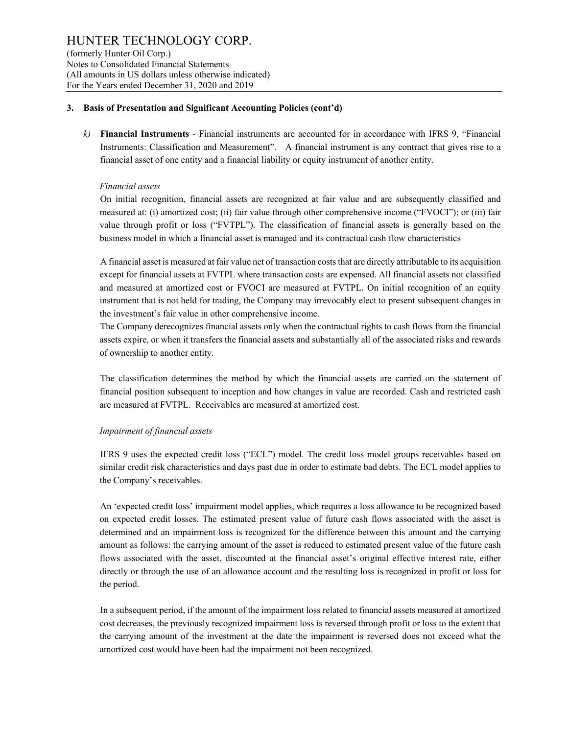*k)* **Financial Instruments** *-* Financial instruments are accounted for in accordance with IFRS 9, "Financial Instruments: Classification and Measurement". A financial instrument is any contract that gives rise to a financial asset of one entity and a financial liability or equity instrument of another entity.

## *Financial assets*

On initial recognition, financial assets are recognized at fair value and are subsequently classified and measured at: (i) amortized cost; (ii) fair value through other comprehensive income ("FVOCI"); or (iii) fair value through profit or loss ("FVTPL"). The classification of financial assets is generally based on the business model in which a financial asset is managed and its contractual cash flow characteristics

A financial asset is measured at fair value net of transaction costs that are directly attributable to its acquisition except for financial assets at FVTPL where transaction costs are expensed. All financial assets not classified and measured at amortized cost or FVOCI are measured at FVTPL. On initial recognition of an equity instrument that is not held for trading, the Company may irrevocably elect to present subsequent changes in the investment's fair value in other comprehensive income.

The Company derecognizes financial assets only when the contractual rights to cash flows from the financial assets expire, or when it transfers the financial assets and substantially all of the associated risks and rewards of ownership to another entity.

The classification determines the method by which the financial assets are carried on the statement of financial position subsequent to inception and how changes in value are recorded. Cash and restricted cash are measured at FVTPL. Receivables are measured at amortized cost.

#### *Impairment of financial assets*

IFRS 9 uses the expected credit loss ("ECL") model. The credit loss model groups receivables based on similar credit risk characteristics and days past due in order to estimate bad debts. The ECL model applies to the Company's receivables.

An 'expected credit loss' impairment model applies, which requires a loss allowance to be recognized based on expected credit losses. The estimated present value of future cash flows associated with the asset is determined and an impairment loss is recognized for the difference between this amount and the carrying amount as follows: the carrying amount of the asset is reduced to estimated present value of the future cash flows associated with the asset, discounted at the financial asset's original effective interest rate, either directly or through the use of an allowance account and the resulting loss is recognized in profit or loss for the period.

In a subsequent period, if the amount of the impairment loss related to financial assets measured at amortized cost decreases, the previously recognized impairment loss is reversed through profit or loss to the extent that the carrying amount of the investment at the date the impairment is reversed does not exceed what the amortized cost would have been had the impairment not been recognized.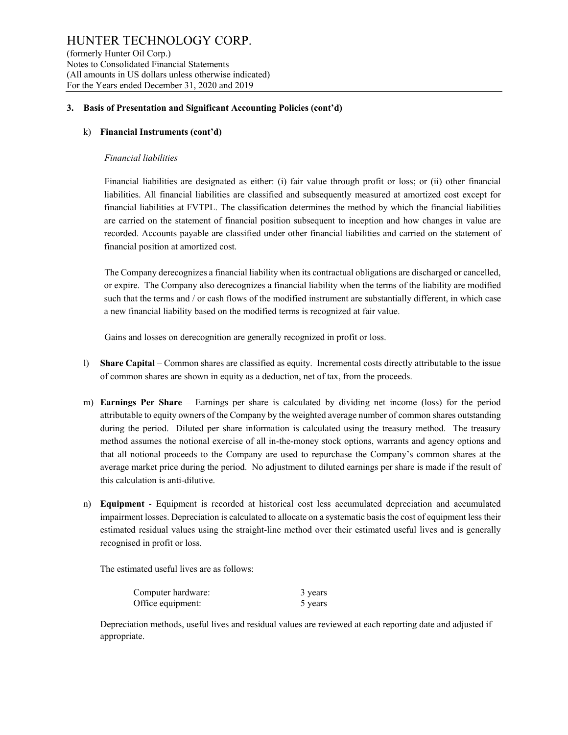#### k) **Financial Instruments (cont'd)**

#### *Financial liabilities*

Financial liabilities are designated as either: (i) fair value through profit or loss; or (ii) other financial liabilities. All financial liabilities are classified and subsequently measured at amortized cost except for financial liabilities at FVTPL. The classification determines the method by which the financial liabilities are carried on the statement of financial position subsequent to inception and how changes in value are recorded. Accounts payable are classified under other financial liabilities and carried on the statement of financial position at amortized cost.

The Company derecognizes a financial liability when its contractual obligations are discharged or cancelled, or expire. The Company also derecognizes a financial liability when the terms of the liability are modified such that the terms and / or cash flows of the modified instrument are substantially different, in which case a new financial liability based on the modified terms is recognized at fair value.

Gains and losses on derecognition are generally recognized in profit or loss.

- l) **Share Capital**  Common shares are classified as equity. Incremental costs directly attributable to the issue of common shares are shown in equity as a deduction, net of tax, from the proceeds.
- m) **Earnings Per Share**Earnings per share is calculated by dividing net income (loss) for the period attributable to equity owners of the Company by the weighted average number of common shares outstanding during the period. Diluted per share information is calculated using the treasury method. The treasury method assumes the notional exercise of all in-the-money stock options, warrants and agency options and that all notional proceeds to the Company are used to repurchase the Company's common shares at the average market price during the period. No adjustment to diluted earnings per share is made if the result of this calculation is anti-dilutive.
- n) **Equipment** Equipment is recorded at historical cost less accumulated depreciation and accumulated impairment losses. Depreciation is calculated to allocate on a systematic basis the cost of equipment less their estimated residual values using the straight-line method over their estimated useful lives and is generally recognised in profit or loss.

The estimated useful lives are as follows:

| Computer hardware: | 3 years |
|--------------------|---------|
| Office equipment:  | 5 years |

Depreciation methods, useful lives and residual values are reviewed at each reporting date and adjusted if appropriate.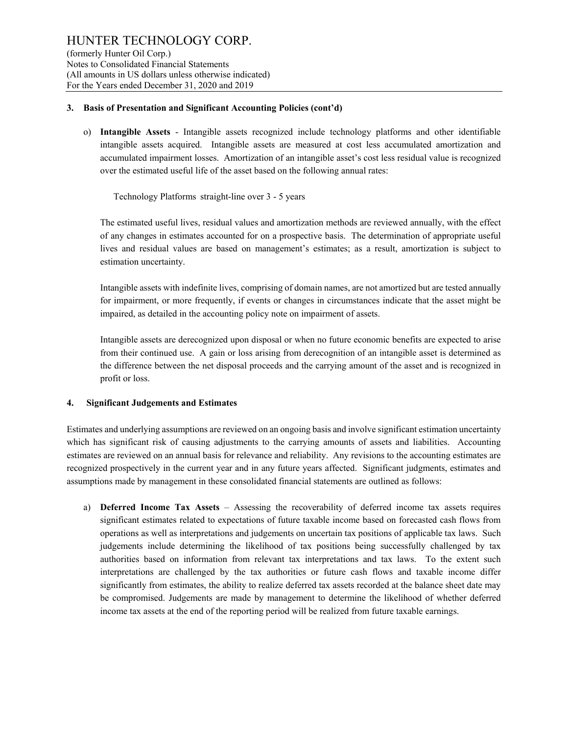o) **Intangible Assets** - Intangible assets recognized include technology platforms and other identifiable intangible assets acquired. Intangible assets are measured at cost less accumulated amortization and accumulated impairment losses. Amortization of an intangible asset's cost less residual value is recognized over the estimated useful life of the asset based on the following annual rates:

Technology Platforms straight-line over 3 - 5 years

The estimated useful lives, residual values and amortization methods are reviewed annually, with the effect of any changes in estimates accounted for on a prospective basis. The determination of appropriate useful lives and residual values are based on management's estimates; as a result, amortization is subject to estimation uncertainty.

Intangible assets with indefinite lives, comprising of domain names, are not amortized but are tested annually for impairment, or more frequently, if events or changes in circumstances indicate that the asset might be impaired, as detailed in the accounting policy note on impairment of assets.

Intangible assets are derecognized upon disposal or when no future economic benefits are expected to arise from their continued use. A gain or loss arising from derecognition of an intangible asset is determined as the difference between the net disposal proceeds and the carrying amount of the asset and is recognized in profit or loss.

## **4. Significant Judgements and Estimates**

Estimates and underlying assumptions are reviewed on an ongoing basis and involve significant estimation uncertainty which has significant risk of causing adjustments to the carrying amounts of assets and liabilities. Accounting estimates are reviewed on an annual basis for relevance and reliability. Any revisions to the accounting estimates are recognized prospectively in the current year and in any future years affected. Significant judgments, estimates and assumptions made by management in these consolidated financial statements are outlined as follows:

a) **Deferred Income Tax Assets** – Assessing the recoverability of deferred income tax assets requires significant estimates related to expectations of future taxable income based on forecasted cash flows from operations as well as interpretations and judgements on uncertain tax positions of applicable tax laws. Such judgements include determining the likelihood of tax positions being successfully challenged by tax authorities based on information from relevant tax interpretations and tax laws. To the extent such interpretations are challenged by the tax authorities or future cash flows and taxable income differ significantly from estimates, the ability to realize deferred tax assets recorded at the balance sheet date may be compromised. Judgements are made by management to determine the likelihood of whether deferred income tax assets at the end of the reporting period will be realized from future taxable earnings.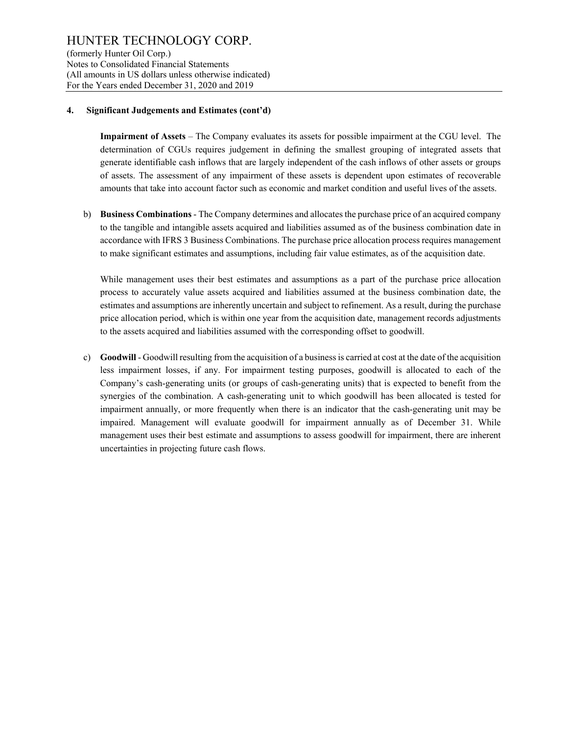#### **4. Significant Judgements and Estimates (cont'd)**

**Impairment of Assets** – The Company evaluates its assets for possible impairment at the CGU level. The determination of CGUs requires judgement in defining the smallest grouping of integrated assets that generate identifiable cash inflows that are largely independent of the cash inflows of other assets or groups of assets. The assessment of any impairment of these assets is dependent upon estimates of recoverable amounts that take into account factor such as economic and market condition and useful lives of the assets.

b) **Business Combinations** - The Company determines and allocates the purchase price of an acquired company to the tangible and intangible assets acquired and liabilities assumed as of the business combination date in accordance with IFRS 3 Business Combinations. The purchase price allocation process requires management to make significant estimates and assumptions, including fair value estimates, as of the acquisition date.

While management uses their best estimates and assumptions as a part of the purchase price allocation process to accurately value assets acquired and liabilities assumed at the business combination date, the estimates and assumptions are inherently uncertain and subject to refinement. As a result, during the purchase price allocation period, which is within one year from the acquisition date, management records adjustments to the assets acquired and liabilities assumed with the corresponding offset to goodwill.

c) **Goodwill** - Goodwill resulting from the acquisition of a business is carried at cost at the date of the acquisition less impairment losses, if any. For impairment testing purposes, goodwill is allocated to each of the Company's cash-generating units (or groups of cash-generating units) that is expected to benefit from the synergies of the combination. A cash-generating unit to which goodwill has been allocated is tested for impairment annually, or more frequently when there is an indicator that the cash-generating unit may be impaired. Management will evaluate goodwill for impairment annually as of December 31. While management uses their best estimate and assumptions to assess goodwill for impairment, there are inherent uncertainties in projecting future cash flows.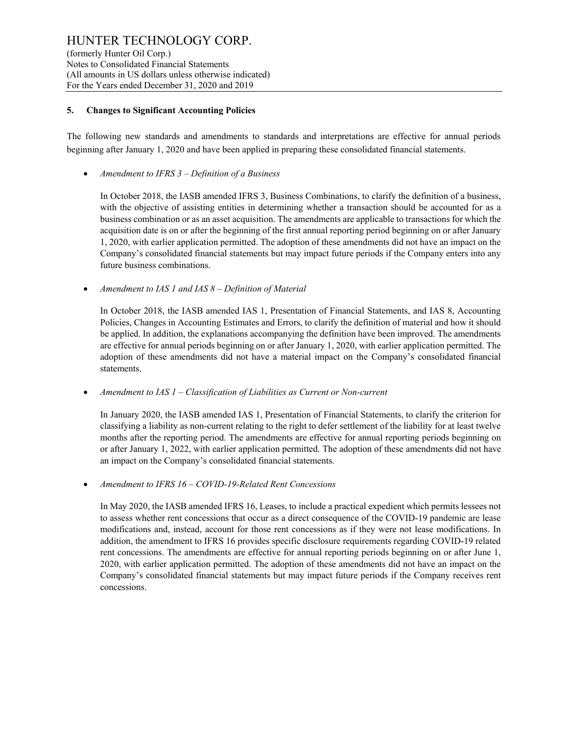## **5. Changes to Significant Accounting Policies**

The following new standards and amendments to standards and interpretations are effective for annual periods beginning after January 1, 2020 and have been applied in preparing these consolidated financial statements.

*Amendment to IFRS 3 – Definition of a Business* 

In October 2018, the IASB amended IFRS 3, Business Combinations, to clarify the definition of a business, with the objective of assisting entities in determining whether a transaction should be accounted for as a business combination or as an asset acquisition. The amendments are applicable to transactions for which the acquisition date is on or after the beginning of the first annual reporting period beginning on or after January 1, 2020, with earlier application permitted. The adoption of these amendments did not have an impact on the Company's consolidated financial statements but may impact future periods if the Company enters into any future business combinations.

*Amendment to IAS 1 and IAS 8 – Definition of Material* 

In October 2018, the IASB amended IAS 1, Presentation of Financial Statements, and IAS 8, Accounting Policies, Changes in Accounting Estimates and Errors, to clarify the definition of material and how it should be applied. In addition, the explanations accompanying the definition have been improved. The amendments are effective for annual periods beginning on or after January 1, 2020, with earlier application permitted. The adoption of these amendments did not have a material impact on the Company's consolidated financial statements.

## *Amendment to IAS 1 – Classification of Liabilities as Current or Non-current*

In January 2020, the IASB amended IAS 1, Presentation of Financial Statements, to clarify the criterion for classifying a liability as non-current relating to the right to defer settlement of the liability for at least twelve months after the reporting period. The amendments are effective for annual reporting periods beginning on or after January 1, 2022, with earlier application permitted. The adoption of these amendments did not have an impact on the Company's consolidated financial statements.

*Amendment to IFRS 16 – COVID-19-Related Rent Concessions* 

In May 2020, the IASB amended IFRS 16, Leases, to include a practical expedient which permits lessees not to assess whether rent concessions that occur as a direct consequence of the COVID-19 pandemic are lease modifications and, instead, account for those rent concessions as if they were not lease modifications. In addition, the amendment to IFRS 16 provides specific disclosure requirements regarding COVID-19 related rent concessions. The amendments are effective for annual reporting periods beginning on or after June 1, 2020, with earlier application permitted. The adoption of these amendments did not have an impact on the Company's consolidated financial statements but may impact future periods if the Company receives rent concessions.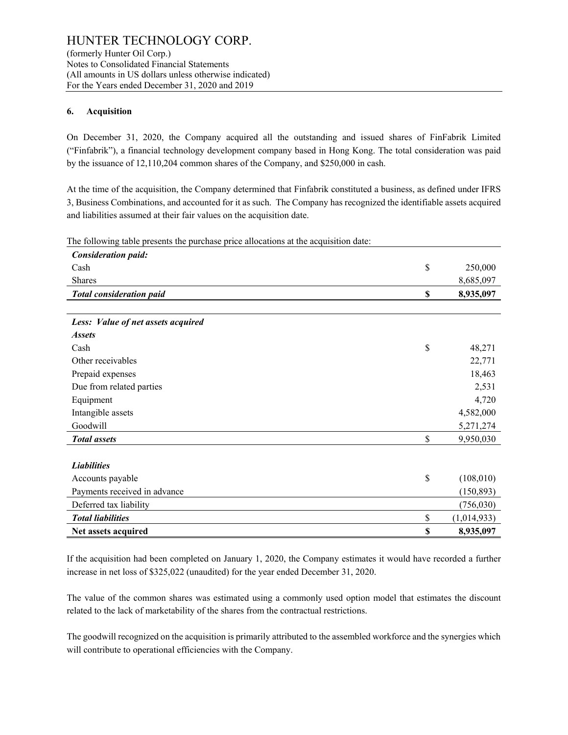## **6. Acquisition**

On December 31, 2020, the Company acquired all the outstanding and issued shares of FinFabrik Limited ("Finfabrik"), a financial technology development company based in Hong Kong. The total consideration was paid by the issuance of 12,110,204 common shares of the Company, and \$250,000 in cash.

At the time of the acquisition, the Company determined that Finfabrik constituted a business, as defined under IFRS 3, Business Combinations, and accounted for it as such. The Company has recognized the identifiable assets acquired and liabilities assumed at their fair values on the acquisition date.

The following table presents the purchase price allocations at the acquisition date:

| <b>Consideration paid:</b>         |                   |
|------------------------------------|-------------------|
| Cash                               | \$<br>250,000     |
| <b>Shares</b>                      | 8,685,097         |
| <b>Total consideration paid</b>    | \$<br>8,935,097   |
|                                    |                   |
| Less: Value of net assets acquired |                   |
| <b>Assets</b>                      |                   |
| Cash                               | \$<br>48,271      |
| Other receivables                  | 22,771            |
| Prepaid expenses                   | 18,463            |
| Due from related parties           | 2,531             |
| Equipment                          | 4,720             |
| Intangible assets                  | 4,582,000         |
| Goodwill                           | 5,271,274         |
| <b>Total</b> assets                | \$<br>9,950,030   |
|                                    |                   |
| <b>Liabilities</b>                 |                   |
| Accounts payable                   | \$<br>(108,010)   |
| Payments received in advance       | (150, 893)        |
| Deferred tax liability             | (756, 030)        |
| <b>Total liabilities</b>           | \$<br>(1,014,933) |
| Net assets acquired                | \$<br>8,935,097   |

If the acquisition had been completed on January 1, 2020, the Company estimates it would have recorded a further increase in net loss of \$325,022 (unaudited) for the year ended December 31, 2020.

The value of the common shares was estimated using a commonly used option model that estimates the discount related to the lack of marketability of the shares from the contractual restrictions.

The goodwill recognized on the acquisition is primarily attributed to the assembled workforce and the synergies which will contribute to operational efficiencies with the Company.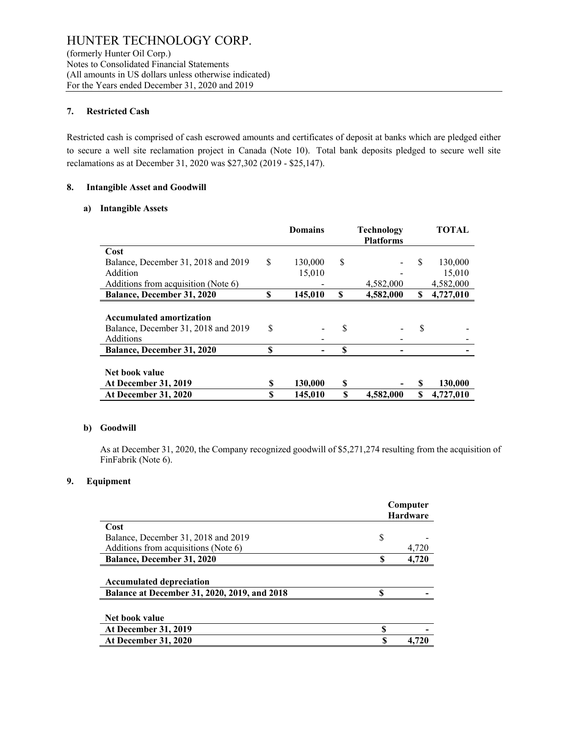## **7. Restricted Cash**

Restricted cash is comprised of cash escrowed amounts and certificates of deposit at banks which are pledged either to secure a well site reclamation project in Canada (Note 10). Total bank deposits pledged to secure well site reclamations as at December 31, 2020 was \$27,302 (2019 - \$25,147).

## **8. Intangible Asset and Goodwill**

#### **a) Intangible Assets**

|                                     |    | <b>Domains</b> |    | <b>Technology</b><br><b>Platforms</b> |    | <b>TOTAL</b> |
|-------------------------------------|----|----------------|----|---------------------------------------|----|--------------|
| Cost                                |    |                |    |                                       |    |              |
| Balance, December 31, 2018 and 2019 | \$ | 130,000        | S  |                                       | S  | 130,000      |
| Addition                            |    | 15,010         |    |                                       |    | 15.010       |
| Additions from acquisition (Note 6) |    |                |    | 4,582,000                             |    | 4,582,000    |
| <b>Balance, December 31, 2020</b>   | S  | 145,010        | \$ | 4,582,000                             | S  | 4,727,010    |
|                                     |    |                |    |                                       |    |              |
| <b>Accumulated amortization</b>     |    |                |    |                                       |    |              |
| Balance, December 31, 2018 and 2019 | \$ |                | \$ |                                       | \$ |              |
| Additions                           |    |                |    |                                       |    |              |
| <b>Balance, December 31, 2020</b>   | \$ |                | \$ |                                       |    |              |
|                                     |    |                |    |                                       |    |              |
| Net book value                      |    |                |    |                                       |    |              |
| <b>At December 31, 2019</b>         | S  | 130,000        | S  |                                       | S  | 130,000      |
| <b>At December 31, 2020</b>         | \$ | 145,010        | S  | 4,582,000                             | S  | 4,727,010    |

#### **b) Goodwill**

As at December 31, 2020, the Company recognized goodwill of \$5,271,274 resulting from the acquisition of FinFabrik (Note 6).

# **9. Equipment**

|                                                                                 | Computer<br><b>Hardware</b> |       |  |
|---------------------------------------------------------------------------------|-----------------------------|-------|--|
| Cost                                                                            |                             |       |  |
| Balance, December 31, 2018 and 2019                                             | S                           |       |  |
| Additions from acquisitions (Note 6)                                            |                             | 4.720 |  |
| <b>Balance, December 31, 2020</b>                                               |                             | 4.720 |  |
| <b>Accumulated depreciation</b><br>Balance at December 31, 2020, 2019, and 2018 | ¢                           |       |  |
|                                                                                 |                             |       |  |
| Net book value                                                                  |                             |       |  |
| <b>At December 31, 2019</b>                                                     | œ                           |       |  |
| At December 31, 2020                                                            | S                           |       |  |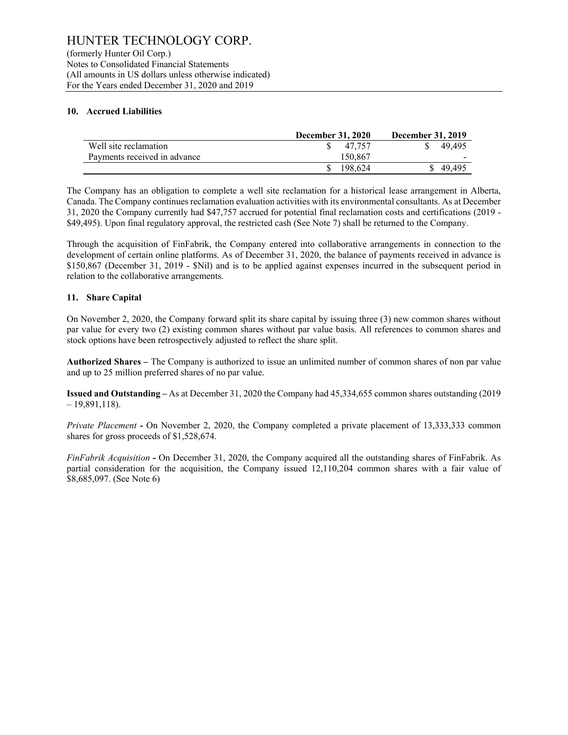### **10. Accrued Liabilities**

|                              | <b>December 31, 2020</b> | <b>December 31, 2019</b> |
|------------------------------|--------------------------|--------------------------|
| Well site reclamation        | 47.757                   | 49.495                   |
| Payments received in advance | 150,867                  |                          |
|                              | 198.624                  | -49 495                  |

The Company has an obligation to complete a well site reclamation for a historical lease arrangement in Alberta, Canada. The Company continues reclamation evaluation activities with its environmental consultants. As at December 31, 2020 the Company currently had \$47,757 accrued for potential final reclamation costs and certifications (2019 - \$49,495). Upon final regulatory approval, the restricted cash (See Note 7) shall be returned to the Company.

Through the acquisition of FinFabrik, the Company entered into collaborative arrangements in connection to the development of certain online platforms. As of December 31, 2020, the balance of payments received in advance is \$150,867 (December 31, 2019 - \$Nil) and is to be applied against expenses incurred in the subsequent period in relation to the collaborative arrangements.

## **11. Share Capital**

On November 2, 2020, the Company forward split its share capital by issuing three (3) new common shares without par value for every two (2) existing common shares without par value basis. All references to common shares and stock options have been retrospectively adjusted to reflect the share split.

**Authorized Shares –** The Company is authorized to issue an unlimited number of common shares of non par value and up to 25 million preferred shares of no par value.

**Issued and Outstanding –** As at December 31, 2020 the Company had 45,334,655 common shares outstanding (2019  $-19,891,118$ ).

*Private Placement* - On November 2, 2020, the Company completed a private placement of 13,333,333 common shares for gross proceeds of \$1,528,674.

*FinFabrik Acquisition* **-** On December 31, 2020, the Company acquired all the outstanding shares of FinFabrik. As partial consideration for the acquisition, the Company issued 12,110,204 common shares with a fair value of \$8,685,097. (See Note 6)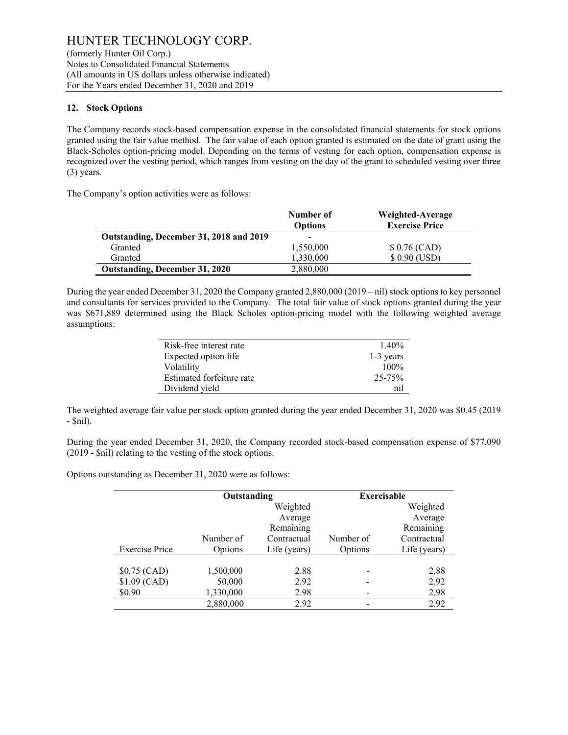## **12. Stock Options**

The Company records stock-based compensation expense in the consolidated financial statements for stock options granted using the fair value method. The fair value of each option granted is estimated on the date of grant using the Black-Scholes option-pricing model. Depending on the terms of vesting for each option, compensation expense is recognized over the vesting period, which ranges from vesting on the day of the grant to scheduled vesting over three (3) years.

The Company's option activities were as follows:

|                                         | Number of      | Weighted-Average      |
|-----------------------------------------|----------------|-----------------------|
|                                         | <b>Options</b> | <b>Exercise Price</b> |
| Outstanding, December 31, 2018 and 2019 | -              |                       |
| Granted                                 | 1,550,000      | $$0.76$ (CAD)         |
| Granted                                 | 1.330.000      | $$0.90$ (USD)         |
| <b>Outstanding, December 31, 2020</b>   | 2,880,000      |                       |

During the year ended December 31, 2020 the Company granted 2,880,000 (2019 – nil) stock options to key personnel and consultants for services provided to the Company. The total fair value of stock options granted during the year was \$671,889 determined using the Black Scholes option-pricing model with the following weighted average assumptions:

| 1.40%       |
|-------------|
| $1-3$ years |
| 100%        |
| $25 - 75%$  |
| nil         |
|             |

The weighted average fair value per stock option granted during the year ended December 31, 2020 was \$0.45 (2019 - \$nil).

During the year ended December 31, 2020, the Company recorded stock-based compensation expense of \$77,090 (2019 - \$nil) relating to the vesting of the stock options.

Options outstanding as December 31, 2020 were as follows:

|                       | Outstanding |              | <b>Exercisable</b> |              |  |
|-----------------------|-------------|--------------|--------------------|--------------|--|
|                       |             | Weighted     |                    | Weighted     |  |
|                       | Average     |              |                    | Average      |  |
|                       | Remaining   |              |                    | Remaining    |  |
|                       | Number of   | Contractual  |                    | Contractual  |  |
| <b>Exercise Price</b> | Options     | Life (years) | Options            | Life (years) |  |
|                       |             |              |                    |              |  |
| $$0.75$ (CAD)         | 1,500,000   | 2.88         |                    | 2.88         |  |
| $$1.09$ (CAD)         | 50,000      | 2.92         |                    | 2.92         |  |
| \$0.90                | 1,330,000   | 2.98         |                    | 2.98         |  |
|                       | 2,880,000   | 2.92         |                    | 2.92         |  |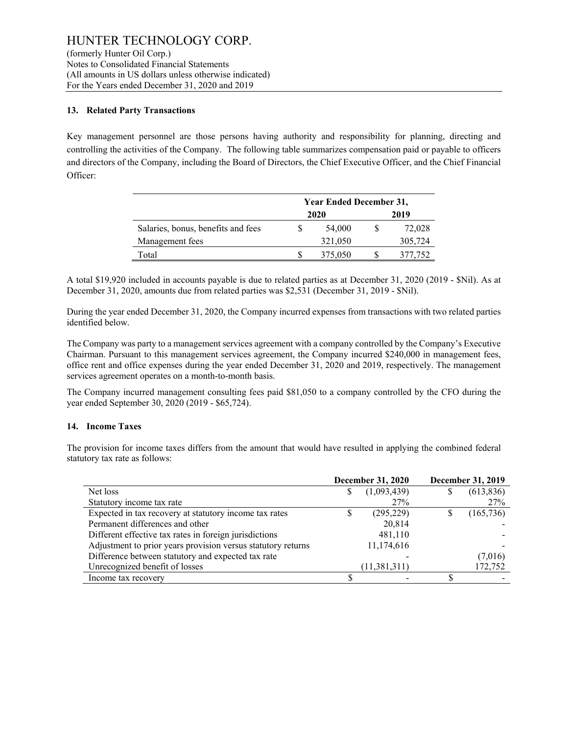## **13. Related Party Transactions**

Key management personnel are those persons having authority and responsibility for planning, directing and controlling the activities of the Company. The following table summarizes compensation paid or payable to officers and directors of the Company, including the Board of Directors, the Chief Executive Officer, and the Chief Financial Officer:

|                                    | <b>Year Ended December 31,</b> |         |      |         |
|------------------------------------|--------------------------------|---------|------|---------|
|                                    | 2020                           |         | 2019 |         |
| Salaries, bonus, benefits and fees |                                | 54,000  |      | 72,028  |
| Management fees                    |                                | 321,050 |      | 305,724 |
| Total                              |                                | 375,050 |      | 377.752 |

A total \$19,920 included in accounts payable is due to related parties as at December 31, 2020 (2019 - \$Nil). As at December 31, 2020, amounts due from related parties was \$2,531 (December 31, 2019 - \$Nil).

During the year ended December 31, 2020, the Company incurred expenses from transactions with two related parties identified below.

The Company was party to a management services agreement with a company controlled by the Company's Executive Chairman. Pursuant to this management services agreement, the Company incurred \$240,000 in management fees, office rent and office expenses during the year ended December 31, 2020 and 2019, respectively. The management services agreement operates on a month-to-month basis.

The Company incurred management consulting fees paid \$81,050 to a company controlled by the CFO during the year ended September 30, 2020 (2019 - \$65,724).

## **14. Income Taxes**

The provision for income taxes differs from the amount that would have resulted in applying the combined federal statutory tax rate as follows:

|                                                              | <b>December 31, 2020</b> |              | <b>December 31, 2019</b> |            |  |
|--------------------------------------------------------------|--------------------------|--------------|--------------------------|------------|--|
| Net loss                                                     | S                        | (1,093,439)  |                          | (613,836)  |  |
| Statutory income tax rate                                    |                          | 27%          |                          | 27%        |  |
| Expected in tax recovery at statutory income tax rates       |                          | (295, 229)   |                          | (165, 736) |  |
| Permanent differences and other                              |                          | 20.814       |                          |            |  |
| Different effective tax rates in foreign jurisdictions       |                          | 481,110      |                          |            |  |
| Adjustment to prior years provision versus statutory returns |                          | 11,174,616   |                          |            |  |
| Difference between statutory and expected tax rate           |                          |              |                          | (7,016)    |  |
| Unrecognized benefit of losses                               |                          | (11,381,311) |                          | 172,752    |  |
| Income tax recovery                                          |                          |              |                          |            |  |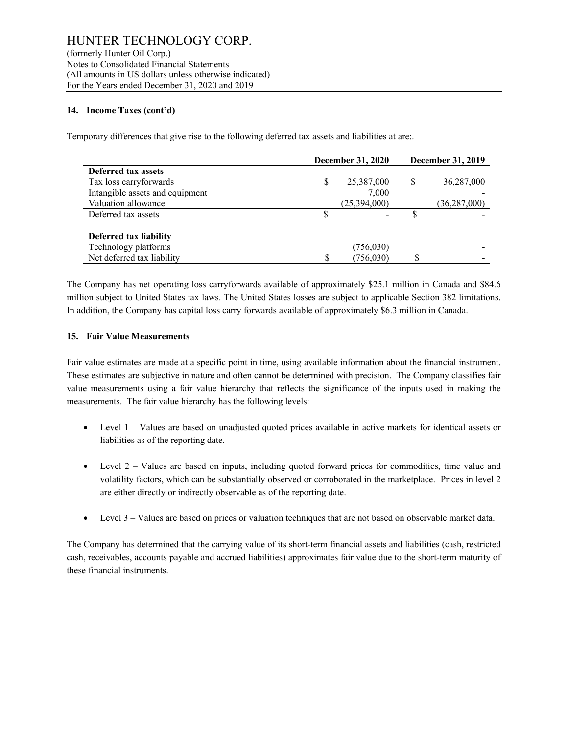## **14. Income Taxes (cont'd)**

Temporary differences that give rise to the following deferred tax assets and liabilities at are:.

|                                 | December 31, 2020 |              | <b>December 31, 2019</b> |                |
|---------------------------------|-------------------|--------------|--------------------------|----------------|
| Deferred tax assets             |                   |              |                          |                |
| Tax loss carryforwards          | \$                | 25,387,000   | S                        | 36,287,000     |
| Intangible assets and equipment |                   | 7,000        |                          |                |
| Valuation allowance             |                   | (25,394,000) |                          | (36, 287, 000) |
| Deferred tax assets             |                   |              |                          |                |
|                                 |                   |              |                          |                |
| Deferred tax liability          |                   |              |                          |                |
| Technology platforms            |                   | (756, 030)   |                          |                |
| Net deferred tax liability      |                   | (756, 030)   |                          |                |

The Company has net operating loss carryforwards available of approximately \$25.1 million in Canada and \$84.6 million subject to United States tax laws. The United States losses are subject to applicable Section 382 limitations. In addition, the Company has capital loss carry forwards available of approximately \$6.3 million in Canada.

# **15. Fair Value Measurements**

Fair value estimates are made at a specific point in time, using available information about the financial instrument. These estimates are subjective in nature and often cannot be determined with precision. The Company classifies fair value measurements using a fair value hierarchy that reflects the significance of the inputs used in making the measurements. The fair value hierarchy has the following levels:

- Level 1 Values are based on unadjusted quoted prices available in active markets for identical assets or liabilities as of the reporting date.
- Level 2 Values are based on inputs, including quoted forward prices for commodities, time value and volatility factors, which can be substantially observed or corroborated in the marketplace. Prices in level 2 are either directly or indirectly observable as of the reporting date.
- Level 3 Values are based on prices or valuation techniques that are not based on observable market data.

The Company has determined that the carrying value of its short-term financial assets and liabilities (cash, restricted cash, receivables, accounts payable and accrued liabilities) approximates fair value due to the short-term maturity of these financial instruments.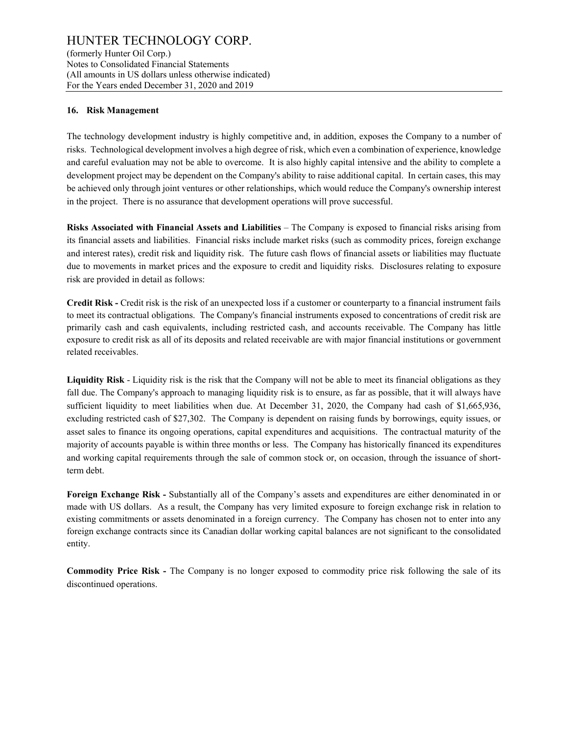## **16. Risk Management**

The technology development industry is highly competitive and, in addition, exposes the Company to a number of risks. Technological development involves a high degree of risk, which even a combination of experience, knowledge and careful evaluation may not be able to overcome. It is also highly capital intensive and the ability to complete a development project may be dependent on the Company's ability to raise additional capital. In certain cases, this may be achieved only through joint ventures or other relationships, which would reduce the Company's ownership interest in the project. There is no assurance that development operations will prove successful.

**Risks Associated with Financial Assets and Liabilities** – The Company is exposed to financial risks arising from its financial assets and liabilities. Financial risks include market risks (such as commodity prices, foreign exchange and interest rates), credit risk and liquidity risk. The future cash flows of financial assets or liabilities may fluctuate due to movements in market prices and the exposure to credit and liquidity risks. Disclosures relating to exposure risk are provided in detail as follows:

**Credit Risk -** Credit risk is the risk of an unexpected loss if a customer or counterparty to a financial instrument fails to meet its contractual obligations. The Company's financial instruments exposed to concentrations of credit risk are primarily cash and cash equivalents, including restricted cash, and accounts receivable. The Company has little exposure to credit risk as all of its deposits and related receivable are with major financial institutions or government related receivables.

**Liquidity Risk** - Liquidity risk is the risk that the Company will not be able to meet its financial obligations as they fall due. The Company's approach to managing liquidity risk is to ensure, as far as possible, that it will always have sufficient liquidity to meet liabilities when due. At December 31, 2020, the Company had cash of \$1,665,936, excluding restricted cash of \$27,302. The Company is dependent on raising funds by borrowings, equity issues, or asset sales to finance its ongoing operations, capital expenditures and acquisitions. The contractual maturity of the majority of accounts payable is within three months or less. The Company has historically financed its expenditures and working capital requirements through the sale of common stock or, on occasion, through the issuance of shortterm debt.

**Foreign Exchange Risk -** Substantially all of the Company's assets and expenditures are either denominated in or made with US dollars. As a result, the Company has very limited exposure to foreign exchange risk in relation to existing commitments or assets denominated in a foreign currency. The Company has chosen not to enter into any foreign exchange contracts since its Canadian dollar working capital balances are not significant to the consolidated entity.

**Commodity Price Risk -** The Company is no longer exposed to commodity price risk following the sale of its discontinued operations.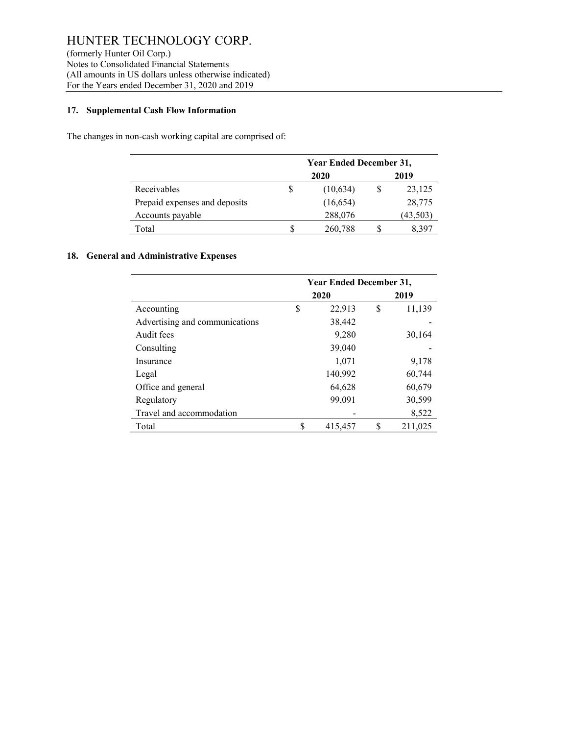# **17. Supplemental Cash Flow Information**

The changes in non-cash working capital are comprised of:

|                               | <b>Year Ended December 31,</b> |           |  |          |  |
|-------------------------------|--------------------------------|-----------|--|----------|--|
|                               |                                | 2020      |  | 2019     |  |
| Receivables                   |                                | (10,634)  |  | 23,125   |  |
| Prepaid expenses and deposits |                                | (16, 654) |  | 28,775   |  |
| Accounts payable              |                                | 288,076   |  | (43,503) |  |
| Total                         |                                | 260,788   |  | 8.397    |  |

# **18. General and Administrative Expenses**

|                                | <b>Year Ended December 31,</b> |         |      |         |  |
|--------------------------------|--------------------------------|---------|------|---------|--|
|                                | 2020                           |         | 2019 |         |  |
| Accounting                     | S                              | 22,913  | S    | 11,139  |  |
| Advertising and communications |                                | 38,442  |      |         |  |
| Audit fees                     |                                | 9,280   |      | 30,164  |  |
| Consulting                     |                                | 39,040  |      |         |  |
| Insurance                      |                                | 1,071   |      | 9,178   |  |
| Legal                          |                                | 140,992 |      | 60,744  |  |
| Office and general             |                                | 64,628  |      | 60,679  |  |
| Regulatory                     |                                | 99,091  |      | 30,599  |  |
| Travel and accommodation       |                                |         |      | 8,522   |  |
| Total                          | \$                             | 415,457 | S    | 211,025 |  |